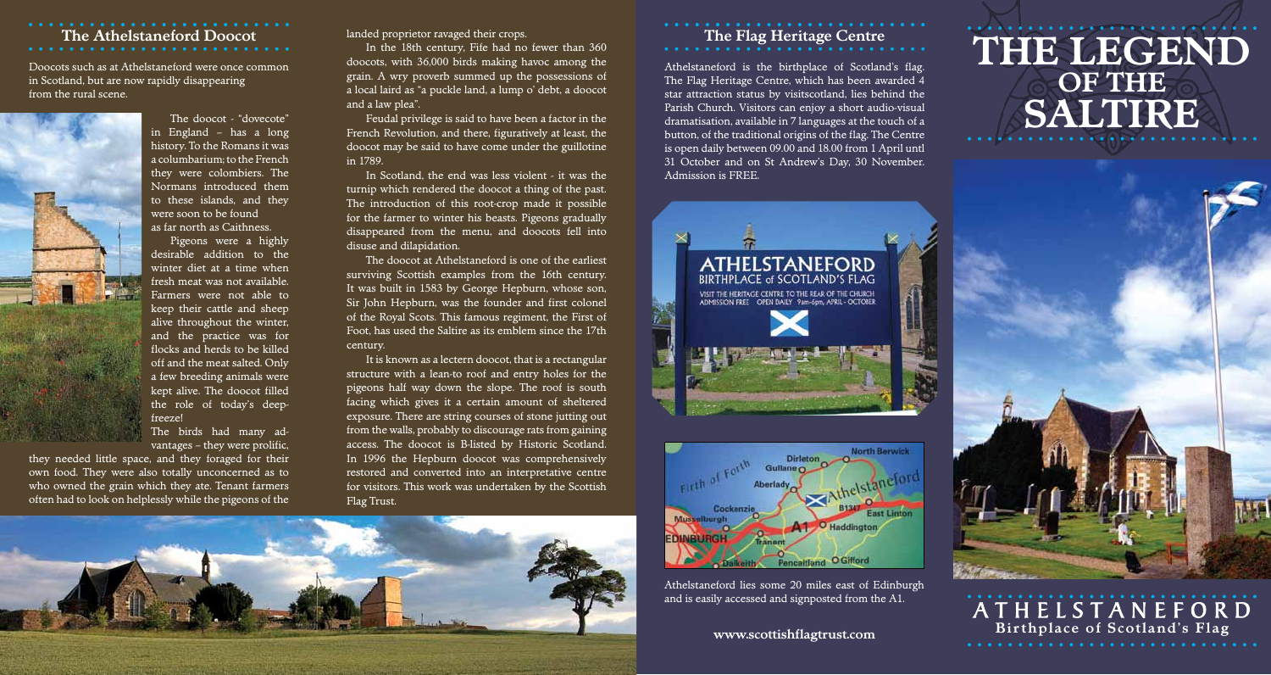### **The Athelstaneford Doocot**

Doocots such as at Athelstaneford were once common in Scotland, but are now rapidly disappearing from the rural scene.



The doocot - "dovecote" in England – has a long history. To the Romans it was a columbarium; to the French they were colombiers. The Normans introduced them to these islands, and they were soon to be found as far north as Caithness.

Pigeons were a highly desirable addition to the winter diet at a time when fresh meat was not available. Farmers were not able to keep their cattle and sheep alive throughout the winter, and the practice was for flocks and herds to be killed off and the meat salted. Only a few breeding animals were kept alive. The doocot filled the role of today's deepfreeze!

The birds had many advantages – they were prolific,

they needed little space, and they foraged for their own food. They were also totally unconcerned as to who owned the grain which they ate. Tenant farmers often had to look on helplessly while the pigeons of the landed proprietor ravaged their crops.

In the 18th century, Fife had no fewer than 360 doocots, with 36,000 birds making havoc among the grain. A wry proverb summed up the possessions of a local laird as "a puckle land, a lump o' debt, a doocot and a law plea".

Feudal privilege is said to have been a factor in the French Revolution, and there, figuratively at least, the doocot may be said to have come under the guillotine in 1789.

In Scotland, the end was less violent - it was the turnip which rendered the doocot a thing of the past. The introduction of this root-crop made it possible for the farmer to winter his beasts. Pigeons gradually disappeared from the menu, and doocots fell into disuse and dilapidation.

The doocot at Athelstaneford is one of the earliest surviving Scottish examples from the 16th century. It was built in 1583 by George Hepburn, whose son, Sir John Hepburn, was the founder and first colonel of the Royal Scots. This famous regiment, the First of Foot, has used the Saltire as its emblem since the 17th century.

It is known as a lectern doocot, that is a rectangular structure with a lean-to roof and entry holes for the pigeons half way down the slope. The roof is south facing which gives it a certain amount of sheltered exposure. There are string courses of stone jutting out from the walls, probably to discourage rats from gaining access. The doocot is B-listed by Historic Scotland. In 1996 the Hepburn doocot was comprehensively restored and converted into an interpretative centre for visitors. This work was undertaken by the Scottish Flag Trust.



## **The Flag Heritage Centre**

Athelstaneford is the birthplace of Scotland's flag. The Flag Heritage Centre, which has been awarded 4 star attraction status by visitscotland, lies behind the Parish Church. Visitors can enjoy a short audio-visual dramatisation, available in 7 languages at the touch of a button, of the traditional origins of the flag. The Centre is open daily between 09.00 and 18.00 from 1 April untl 31 October and on St Andrew's Day, 30 November. Admission is FREE.





Athelstaneford lies some 20 miles east of Edinburgh and is easily accessed and signposted from the A1.

#### **www.scottishflagtrust.com**

# **THE LEGEND OF THE SALTIRE**



A T H E L S T A N E F O R D **Bir t hplace of Scotland's Flag**